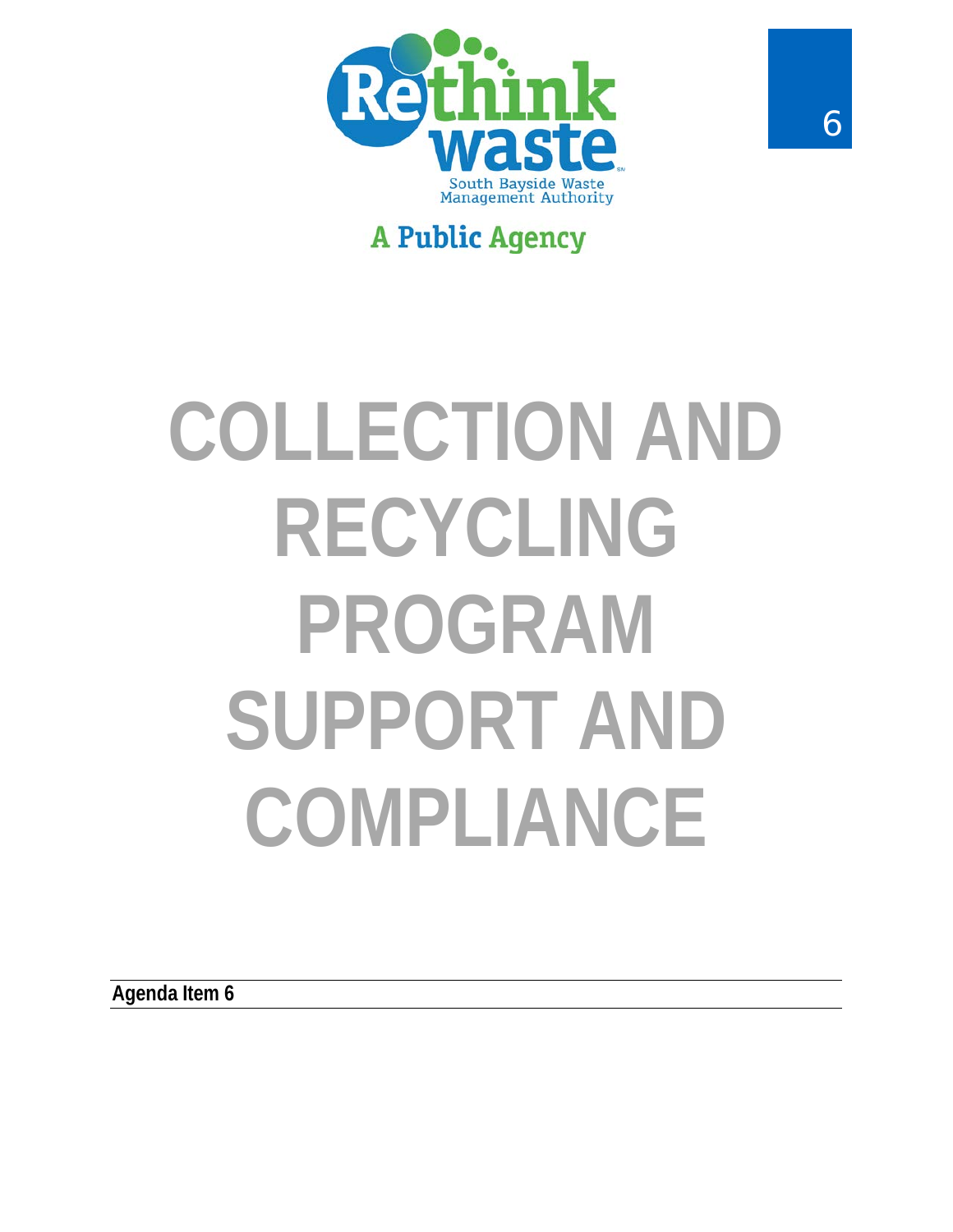

## **A Public Agency**

# **COLLECTION AND RECYCLING PROGRAM SUPPORT AND COMPLIANCE**

**Agenda Item 6**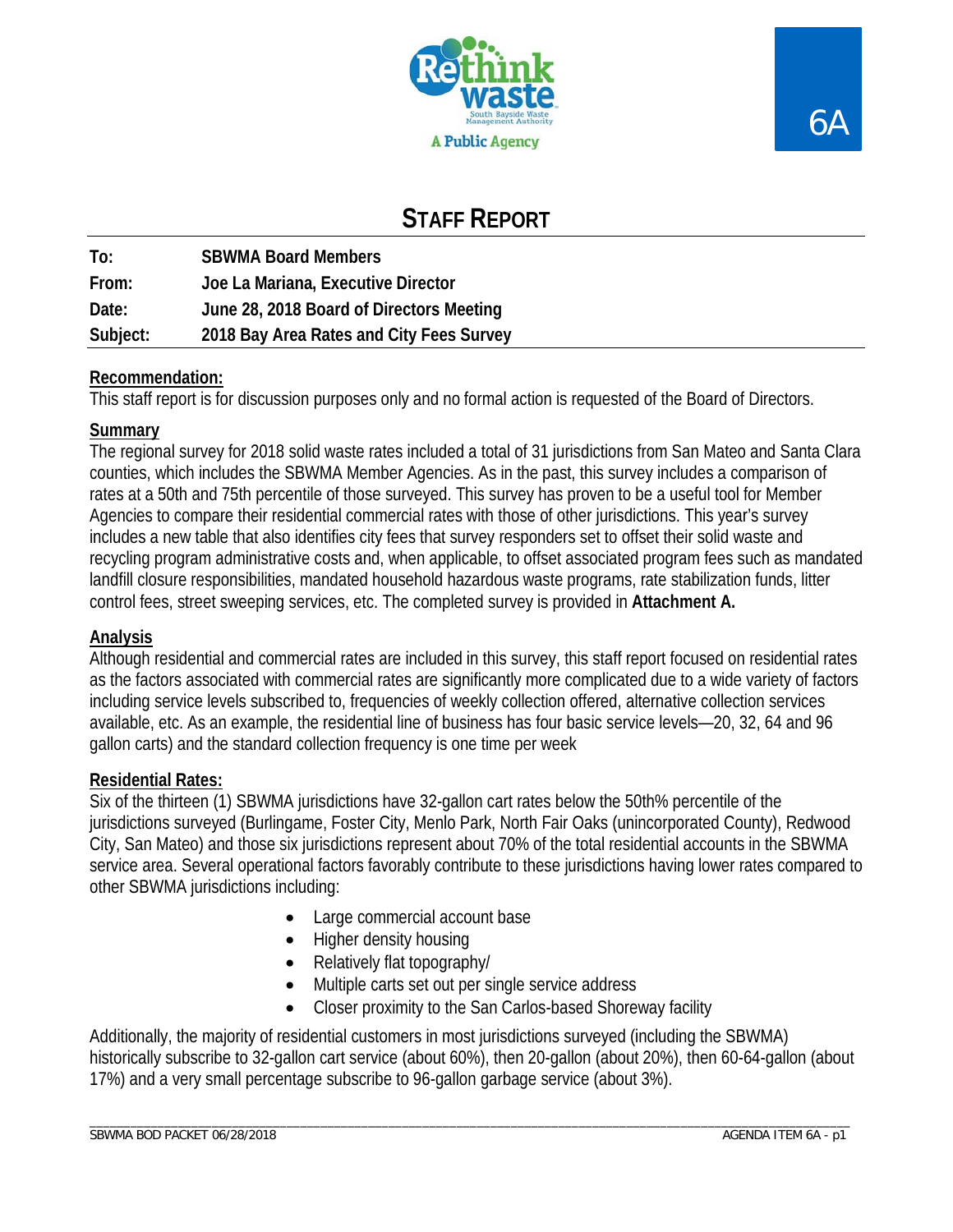



### **STAFF REPORT**

| To:      | <b>SBWMA Board Members</b>               |
|----------|------------------------------------------|
| From:    | Joe La Mariana, Executive Director       |
| Date:    | June 28, 2018 Board of Directors Meeting |
| Subject: | 2018 Bay Area Rates and City Fees Survey |

#### **Recommendation:**

This staff report is for discussion purposes only and no formal action is requested of the Board of Directors.

#### **Summary**

The regional survey for 2018 solid waste rates included a total of 31 jurisdictions from San Mateo and Santa Clara counties, which includes the SBWMA Member Agencies. As in the past, this survey includes a comparison of rates at a 50th and 75th percentile of those surveyed. This survey has proven to be a useful tool for Member Agencies to compare their residential commercial rates with those of other jurisdictions. This year's survey includes a new table that also identifies city fees that survey responders set to offset their solid waste and recycling program administrative costs and, when applicable, to offset associated program fees such as mandated landfill closure responsibilities, mandated household hazardous waste programs, rate stabilization funds, litter control fees, street sweeping services, etc. The completed survey is provided in **Attachment A.**

#### **Analysis**

Although residential and commercial rates are included in this survey, this staff report focused on residential rates as the factors associated with commercial rates are significantly more complicated due to a wide variety of factors including service levels subscribed to, frequencies of weekly collection offered, alternative collection services available, etc. As an example, the residential line of business has four basic service levels—20, 32, 64 and 96 gallon carts) and the standard collection frequency is one time per week

#### **Residential Rates:**

Six of the thirteen (1) SBWMA jurisdictions have 32-gallon cart rates below the 50th% percentile of the jurisdictions surveyed (Burlingame, Foster City, Menlo Park, North Fair Oaks (unincorporated County), Redwood City, San Mateo) and those six jurisdictions represent about 70% of the total residential accounts in the SBWMA service area. Several operational factors favorably contribute to these jurisdictions having lower rates compared to other SBWMA jurisdictions including:

- Large commercial account base
- Higher density housing
- Relatively flat topography/
- Multiple carts set out per single service address
- Closer proximity to the San Carlos-based Shoreway facility

Additionally, the majority of residential customers in most jurisdictions surveyed (including the SBWMA) historically subscribe to 32-gallon cart service (about 60%), then 20-gallon (about 20%), then 60-64-gallon (about 17%) and a very small percentage subscribe to 96-gallon garbage service (about 3%).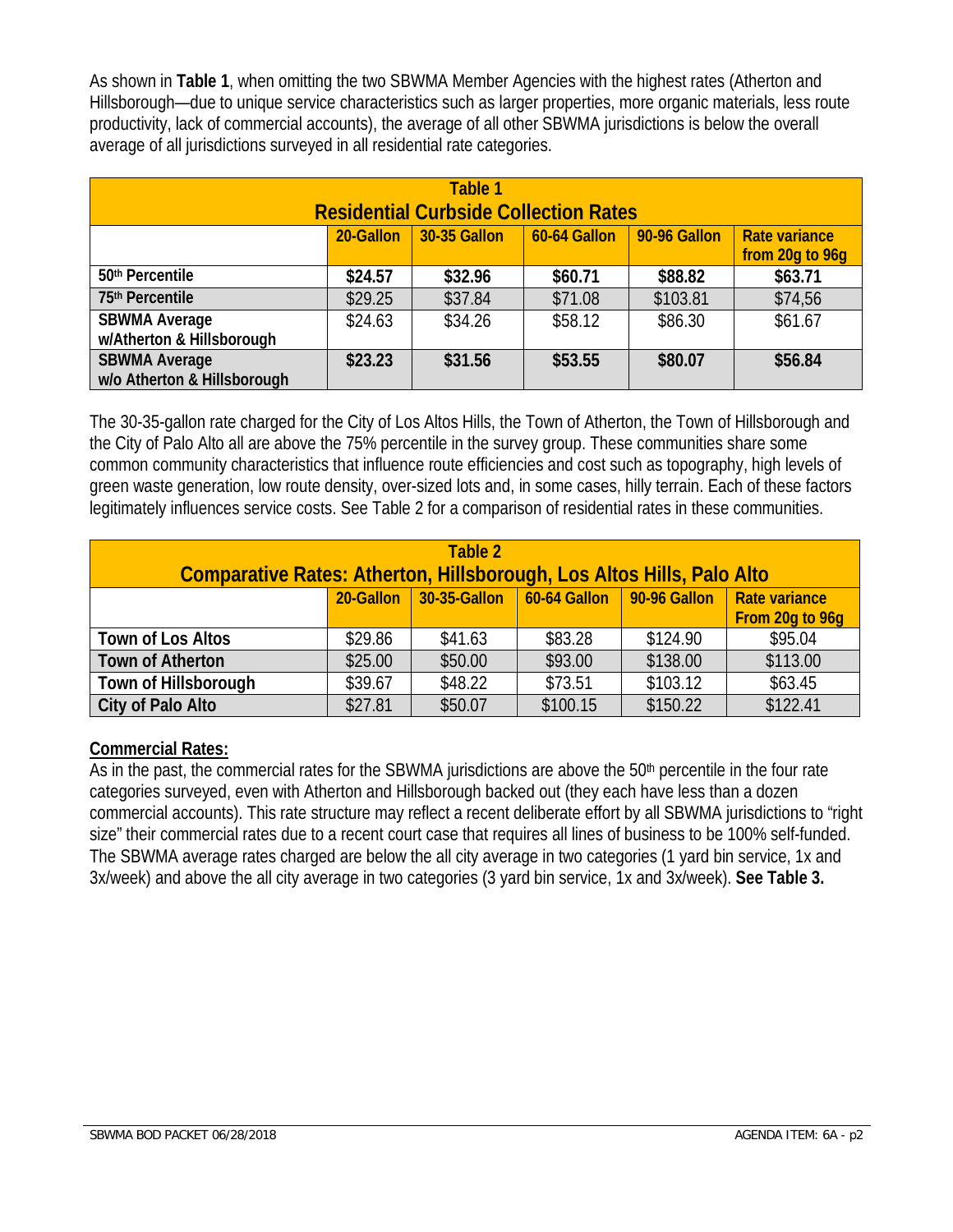As shown in **Table 1**, when omitting the two SBWMA Member Agencies with the highest rates (Atherton and Hillsborough—due to unique service characteristics such as larger properties, more organic materials, less route productivity, lack of commercial accounts), the average of all other SBWMA jurisdictions is below the overall average of all jurisdictions surveyed in all residential rate categories.

|                                                     |           | Table 1<br><b>Residential Curbside Collection Rates</b> |                |              |                                         |
|-----------------------------------------------------|-----------|---------------------------------------------------------|----------------|--------------|-----------------------------------------|
|                                                     | 20-Gallon | $\vert$ 30-35 Gallon                                    | $60-64$ Gallon | 90-96 Gallon | <b>Rate variance</b><br>from 20g to 96g |
| 50 <sup>th</sup> Percentile                         | \$24.57   | \$32.96                                                 | \$60.71        | \$88.82      | \$63.71                                 |
| 75th Percentile                                     | \$29.25   | \$37.84                                                 | \$71.08        | \$103.81     | \$74,56                                 |
| <b>SBWMA Average</b><br>w/Atherton & Hillsborough   | \$24.63   | \$34.26                                                 | \$58.12        | \$86.30      | \$61.67                                 |
| <b>SBWMA Average</b><br>w/o Atherton & Hillsborough | \$23.23   | \$31.56                                                 | \$53.55        | \$80.07      | \$56.84                                 |

The 30-35-gallon rate charged for the City of Los Altos Hills, the Town of Atherton, the Town of Hillsborough and the City of Palo Alto all are above the 75% percentile in the survey group. These communities share some common community characteristics that influence route efficiencies and cost such as topography, high levels of green waste generation, low route density, over-sized lots and, in some cases, hilly terrain. Each of these factors legitimately influences service costs. See Table 2 for a comparison of residential rates in these communities.

| Table 2<br>Comparative Rates: Atherton, Hillsborough, Los Altos Hills, Palo Alto |         |         |          |          |                 |  |  |  |  |  |  |  |  |
|----------------------------------------------------------------------------------|---------|---------|----------|----------|-----------------|--|--|--|--|--|--|--|--|
| 20-Gallon 30-35-Gallon 60-64 Gallon 90-96 Gallon<br>Rate variance                |         |         |          |          |                 |  |  |  |  |  |  |  |  |
|                                                                                  |         |         |          |          | From 20g to 96g |  |  |  |  |  |  |  |  |
| Town of Los Altos                                                                | \$29.86 | \$41.63 | \$83.28  | \$124.90 | \$95.04         |  |  |  |  |  |  |  |  |
| <b>Town of Atherton</b>                                                          | \$25.00 | \$50.00 | \$93.00  | \$138.00 | \$113.00        |  |  |  |  |  |  |  |  |
| Town of Hillsborough                                                             | \$39.67 | \$48.22 | \$73.51  | \$103.12 | \$63.45         |  |  |  |  |  |  |  |  |
| City of Palo Alto                                                                | \$27.81 | \$50.07 | \$100.15 | \$150.22 | \$122.41        |  |  |  |  |  |  |  |  |

#### **Commercial Rates:**

As in the past, the commercial rates for the SBWMA jurisdictions are above the 50<sup>th</sup> percentile in the four rate categories surveyed, even with Atherton and Hillsborough backed out (they each have less than a dozen commercial accounts). This rate structure may reflect a recent deliberate effort by all SBWMA jurisdictions to "right size" their commercial rates due to a recent court case that requires all lines of business to be 100% self-funded. The SBWMA average rates charged are below the all city average in two categories (1 yard bin service, 1x and 3x/week) and above the all city average in two categories (3 yard bin service, 1x and 3x/week). **See Table 3.**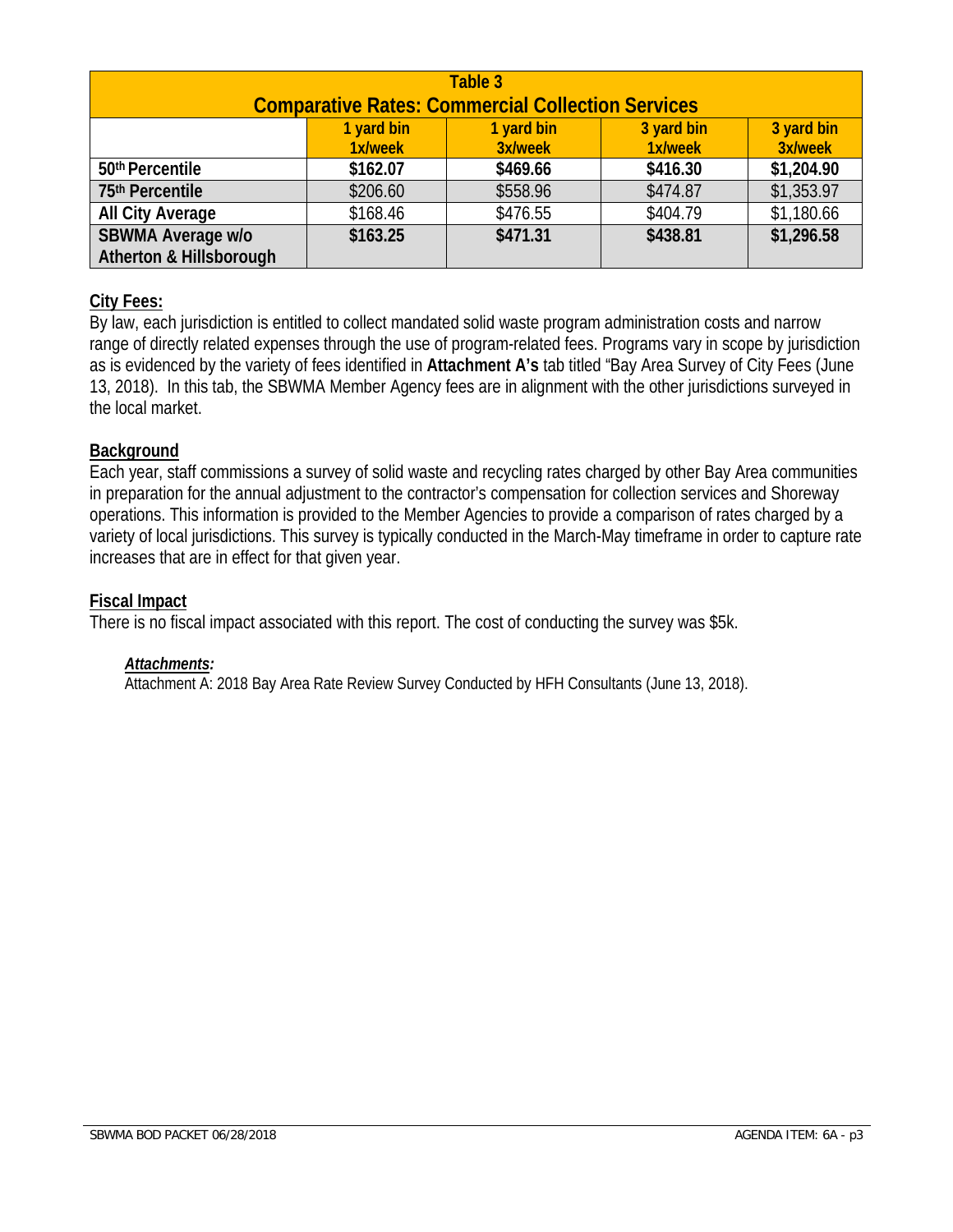| Table 3<br><b>Comparative Rates: Commercial Collection Services</b>                              |          |          |          |            |  |  |  |  |  |  |  |  |  |
|--------------------------------------------------------------------------------------------------|----------|----------|----------|------------|--|--|--|--|--|--|--|--|--|
| 3 yard bin<br>3 yard bin<br>1 yard bin<br>1 yard bin<br>3x/week<br>1x/week<br>3x/week<br>1x/week |          |          |          |            |  |  |  |  |  |  |  |  |  |
| 50th Percentile                                                                                  | \$162.07 | \$469.66 | \$416.30 | \$1,204.90 |  |  |  |  |  |  |  |  |  |
| 75th Percentile                                                                                  | \$206.60 | \$558.96 | \$474.87 | \$1,353.97 |  |  |  |  |  |  |  |  |  |
| <b>All City Average</b>                                                                          | \$168.46 | \$476.55 | \$404.79 | \$1,180.66 |  |  |  |  |  |  |  |  |  |
| SBWMA Average w/o                                                                                | \$163.25 | \$471.31 | \$438.81 | \$1,296.58 |  |  |  |  |  |  |  |  |  |
| Atherton & Hillsborough                                                                          |          |          |          |            |  |  |  |  |  |  |  |  |  |

#### **City Fees:**

By law, each jurisdiction is entitled to collect mandated solid waste program administration costs and narrow range of directly related expenses through the use of program-related fees. Programs vary in scope by jurisdiction as is evidenced by the variety of fees identified in **Attachment A's** tab titled "Bay Area Survey of City Fees (June 13, 2018). In this tab, the SBWMA Member Agency fees are in alignment with the other jurisdictions surveyed in the local market.

#### **Background**

Each year, staff commissions a survey of solid waste and recycling rates charged by other Bay Area communities in preparation for the annual adjustment to the contractor's compensation for collection services and Shoreway operations. This information is provided to the Member Agencies to provide a comparison of rates charged by a variety of local jurisdictions. This survey is typically conducted in the March-May timeframe in order to capture rate increases that are in effect for that given year.

#### **Fiscal Impact**

There is no fiscal impact associated with this report. The cost of conducting the survey was \$5k.

#### *Attachments:*

Attachment A: 2018 Bay Area Rate Review Survey Conducted by HFH Consultants (June 13, 2018).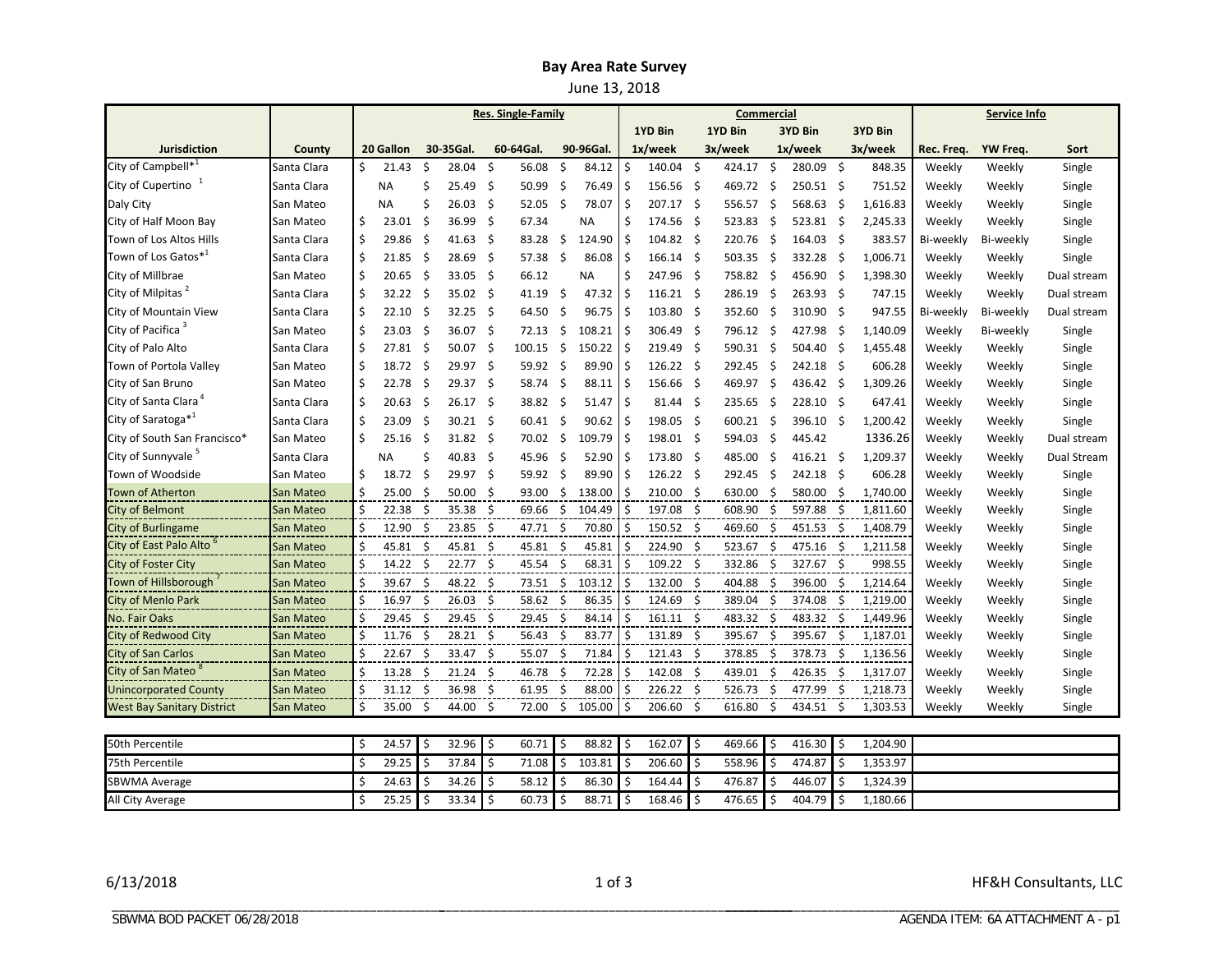#### **Bay Area Rate Survey**

June 13, 2018

|                                     |             | <b>Res. Single-Family</b> |                  |      |              |                          |                 |     |           |              |                      |      | Commercial |         | <b>Service Info</b> |         |          |            |           |             |
|-------------------------------------|-------------|---------------------------|------------------|------|--------------|--------------------------|-----------------|-----|-----------|--------------|----------------------|------|------------|---------|---------------------|---------|----------|------------|-----------|-------------|
|                                     |             |                           |                  |      |              |                          |                 |     | 1YD Bin   |              | 1YD Bin              |      | 3YD Bin    |         | 3YD Bin             |         |          |            |           |             |
| <b>Jurisdiction</b>                 | County      |                           | 20 Gallon        |      | 30-35Gal.    |                          | 60-64Gal.       |     | 90-96Gal. |              | $1x/$ week           |      | 3x/week    |         | 1x/week             |         | 3x/week  | Rec. Freq. | YW Freq.  | Sort        |
| City of Campbell*                   | Santa Clara | Ŝ.                        | 21.43            | \$   | 28.04        | \$                       | 56.08           | \$  | 84.12     | \$           | 140.04               | - \$ | 424.17     | \$      | 280.09              | Ŝ.      | 848.35   | Weekly     | Weekly    | Single      |
| City of Cupertino                   | Santa Clara |                           | <b>NA</b>        | Ś    | 25.49        | Ś.                       | 50.99           | -\$ | 76.49     | \$           | $156.56$ \$          |      | 469.72     | Ś.      | 250.51 \$           |         | 751.52   | Weekly     | Weekly    | Single      |
| Daly City                           | San Mateo   |                           | <b>NA</b>        | Ś    | 26.03        | $\zeta$                  | 52.05           | \$  | 78.07     | \$           | 207.17 \$            |      | 556.57     | $\zeta$ | 568.63              | \$      | 1,616.83 | Weekly     | Weekly    | Single      |
| City of Half Moon Bay               | San Mateo   | \$                        | 23.01            | \$   | 36.99        | -\$                      | 67.34           |     | <b>NA</b> | Ś            | 174.56 \$            |      | 523.83     | \$      | 523.81              | \$      | 2,245.33 | Weekly     | Weekly    | Single      |
| Town of Los Altos Hills             | Santa Clara | \$                        | 29.86            | \$   | 41.63        | -\$                      | 83.28           | \$  | 124.90    | Ś            | $104.82 \quad$ \$    |      | 220.76     | -\$     | 164.03 \$           |         | 383.57   | Bi-weekly  | Bi-weekly | Single      |
| Town of Los Gatos*1                 | Santa Clara | Ś                         | 21.85            | -\$  | 28.69        | -\$                      | $57.38 \quad $$ |     | 86.08     | Ś            | $166.14 \quad$ \$    |      | 503.35     | -\$     | 332.28              | -\$     | 1,006.71 | Weekly     | Weekly    | Single      |
| City of Millbrae                    | San Mateo   | \$                        | 20.65            | -\$  | 33.05        | -\$                      | 66.12           |     | <b>NA</b> | Ś            | 247.96 \$            |      | 758.82     | Ś       | 456.90              | \$      | 1,398.30 | Weekly     | Weekly    | Dual stream |
| City of Milpitas <sup>2</sup>       | Santa Clara | \$                        | $32.22$ \$       |      | 35.02        | Ś.                       | 41.19           | \$  | 47.32     | Ś            | $116.21 \quad$ \$    |      | 286.19     | Ś       | 263.93              | -\$     | 747.15   | Weekly     | Weekly    | Dual stream |
| City of Mountain View               | Santa Clara | \$                        | 22.10            | \$   | 32.25        | \$                       | 64.50           | \$  | 96.75     | \$           | 103.80%              |      | 352.60     | \$      | 310.90              | \$      | 947.55   | Bi-weekly  | Bi-weekly | Dual stream |
| City of Pacifica <sup>3</sup>       | San Mateo   | \$                        | 23.03            | -\$  | 36.07        | \$                       | 72.13           | \$  | 108.21    | \$           | 306.49 \$            |      | 796.12     | \$      | 427.98              | -\$     | 1,140.09 | Weekly     | Bi-weekly | Single      |
| City of Palo Alto                   | Santa Clara | \$                        | 27.81            | \$   | 50.07        | -\$                      | 100.15          | \$  | 150.22    | \$           | 219.49               | - \$ | 590.31     | -\$     | 504.40              | \$      | 1,455.48 | Weekly     | Weekly    | Single      |
| Town of Portola Valley              | San Mateo   | \$                        | $18.72 \quad$ \$ |      | 29.97        | \$                       | 59.92 \$        |     | 89.90     | \$           | $126.22 \quad$ \$    |      | 292.45     | -\$     | 242.18              | -\$     | 606.28   | Weekly     | Weekly    | Single      |
| City of San Bruno                   | San Mateo   | \$                        | 22.78            | -\$  | 29.37        | \$                       | 58.74 \$        |     | 88.11     | \$           | 156.66 \$            |      | 469.97     | \$      | 436.42              | -\$     | 1,309.26 | Weekly     | Weekly    | Single      |
| City of Santa Clara <sup>4</sup>    | Santa Clara | \$                        | 20.63            | \$   | 26.17        | \$                       | 38.82 \$        |     | 51.47     | \$           | $81.44 \quad$ \$     |      | 235.65     | -\$     | 228.10              | \$      | 647.41   | Weekly     | Weekly    | Single      |
| City of Saratoga* <sup>1</sup>      | Santa Clara | \$                        | 23.09            | S.   | 30.21        | -\$                      | $60.41 \quad $$ |     | 90.62     | S            | 198.05               | - \$ | 600.21     | -\$     | 396.10              | -\$     | 1,200.42 | Weekly     | Weekly    | Single      |
| City of South San Francisco*        | San Mateo   | \$                        | 25.16            | \$   | 31.82        | \$                       | 70.02           | -\$ | 109.79    | \$           | 198.01 \$            |      | 594.03     | \$      | 445.42              |         | 1336.26  | Weekly     | Weekly    | Dual stream |
| City of Sunnyvale <sup>5</sup>      | Santa Clara |                           | <b>NA</b>        | Ś    | 40.83        | \$                       | 45.96           | -\$ | 52.90     | Ś            | 173.80 \$            |      | 485.00     | \$      | 416.21              | -\$     | 1,209.37 | Weekly     | Weekly    | Dual Stream |
| Town of Woodside                    | San Mateo   | \$                        | 18.72            | \$   | 29.97        | Ś.                       | 59.92 \$        |     | 89.90     | Ś            | $126.22$ \$          |      | 292.45     | \$      | 242.18              | -\$     | 606.28   | Weekly     | Weekly    | Single      |
| Town of Atherton                    | San Mateo   | Ś                         | 25.00            | \$   | 50.00        | Ś.                       | 93.00           | Ŝ.  | 138.00    | Ś            | 210.00 \$            |      | 630.00     | \$      | 580.00              | \$      | 1,740.00 | Weekly     | Weekly    | Single      |
| <b>City of Belmont</b>              | San Mateo   | \$                        | 22.38            | -\$  | 35.38        | -\$                      | 69.66           | -\$ | 104.49    | Ś            | 197.08 \$            |      | 608.90     | \$      | 597.88              | -\$     | 1,811.60 | Weekly     | Weekly    | Single      |
| <b>City of Burlingame</b>           | San Mateo   | \$                        | 12.90            | \$   | 23.85        | -\$                      | 47.71 \$        |     | 70.80     | Ś            | $150.52 \quad$ \$    |      | 469.60     | Ś       | 451.53              | -\$     | 1,408.79 | Weekly     | Weekly    | Single      |
| City of East Palo Alto <sup>o</sup> | San Mateo   | \$                        | 45.81            | - \$ | 45.81        | -\$                      | 45.81 \$        |     | 45.81     | Ś            | 224.90 \$            |      | 523.67     | \$      | 475.16              | \$      | 1,211.58 | Weekly     | Weekly    | Single      |
| City of Foster City                 | San Mateo   | Ś                         | $14.22 \div$     |      | 22.77        | - Ś                      | 45.54           | -\$ | 68.31     | Ś            | $109.22$ \$          |      | 332.86     | Ŝ.      | 327.67              | -Ś      | 998.55   | Weekly     | Weekly    | Single      |
| Town of Hillsborough                | San Mateo   | Ś                         | 39.67            | -\$  | $48.22 \div$ |                          | 73.51 \$        |     | 103.12    | Ś            | 132.00 \$            |      | 404.88     | Ŝ.      | 396.00              | Ŝ.      | 1,214.64 | Weekly     | Weekly    | Single      |
| <b>City of Menlo Park</b>           | San Mateo   |                           | 16.97            | Ś.   | 26.03        | -S                       | 58.62           | -Ś  | 86.35     | Ś            | 124.69               | - \$ | 389.04     | Ŝ.      | 374.08              | Ŝ.      | 1,219.00 | Weekly     | Weekly    | Single      |
| <b>No. Fair Oaks</b>                | San Mateo   | Ś                         | 29.45            | \$   | 29.45        | Ŝ.                       | 29.45           | -\$ | 84.14     | Ś            | $161.11 \; \text{S}$ |      | 483.32     | \$      | 483.32              | -\$     | 1,449.96 | Weekly     | Weekly    | Single      |
| City of Redwood City                | San Mateo   | Ś.                        | 11.76            | \$   | 28.21        | -\$                      | 56.43           | -\$ | 83.77     | Ś            | 131.89               | -\$  | 395.67     | \$      | 395.67              | Ŝ.      | 1,187.01 | Weekly     | Weekly    | Single      |
| <b>City of San Carlos</b>           | San Mateo   | \$                        | 22.67            | Ŝ.   | 33.47        | -Ś                       | 55.07           | -Ś  | 71.84     | Ś            | $121.43 \quad $$     |      | 378.85     | \$      | 378.73              | Ŝ.      | 1,136.56 | Weekly     | Weekly    | Single      |
| City of San Mateo <sup>8</sup>      | San Mateo   | \$                        | 13.28            | Ŝ.   | 21.24        | - Ś                      | 46.78           | Ś.  | 72.28     | Ś            | 142.08 \$            |      | 439.01     | Ŝ.      | 426.35              | Ŝ.      | 1,317.07 | Weekly     | Weekly    | Single      |
| <b>Unincorporated County</b>        | San Mateo   | \$                        | 31.12            | -\$  | 36.98        | -Ś                       | 61.95           | Ŝ.  | 88.00     | Ś            | $226.22$ \$          |      | 526.73     | \$      | 477.99              | \$      | 1,218.73 | Weekly     | Weekly    | Single      |
| <b>West Bay Sanitary District</b>   | San Mateo   | \$                        | 35.00            | -\$  | 44.00        | -\$                      | 72.00           | Ŝ.  | 105.00    | \$           | 206.60 \$            |      | 616.80     | \$      | 434.51              | -\$     | 1,303.53 | Weekly     | Weekly    | Single      |
|                                     |             |                           |                  |      |              |                          |                 |     |           |              |                      |      |            |         |                     |         |          |            |           |             |
| 50th Percentile                     |             | \$                        | 24.57            | \$   | 32.96        | -\$                      | 60.71           | \$  | 88.82     | \$           | 162.07               | \$   | 469.66     | \$      | 416.30              | \$      | 1,204.90 |            |           |             |
| 75th Percentile                     |             | \$                        | 29.25            | \$   | 37.84        | $\overline{\phantom{a}}$ | 71.08           | \$  | 103.81    | $\mathsf{S}$ | 206.60               | \$   | 558.96     | \$      | 474.87              | $\zeta$ | 1,353.97 |            |           |             |
| <b>SBWMA Average</b>                |             | \$                        | 24.63            | Ŝ    | 34.26        | -\$                      | 58.12           | Ś   | 86.30     | Ŝ.           | 164.44               | Ś    | 476.87     | \$      | 446.07              | \$      | 1,324.39 |            |           |             |
| All City Average                    |             | \$                        | 25.25            | \$ ا | 33.34        | $\vert$ \$               | 60.73           | Ś.  | 88.71     | $\mathsf{I}$ | $168.46$ \$          |      | 476.65     | $\zeta$ | 404.79              | \$      | 1.180.66 |            |           |             |

\_\_\_\_\_\_\_\_\_\_\_\_\_\_\_\_\_\_\_\_\_\_\_\_\_\_\_\_\_\_\_\_\_\_\_\_\_\_\_\_\_\_\_\_\_\_\_\_\_\_\_\_ \_\_\_\_\_\_\_\_\_\_\_\_\_\_\_\_\_\_\_\_\_\_\_\_\_\_\_\_\_\_\_\_\_\_\_\_\_\_\_\_\_\_\_\_\_\_\_\_\_\_\_\_\_\_\_\_\_\_

6/13/2018 1 of 3 HF&H Consultants, LLC

\_\_\_\_\_\_\_\_\_\_\_\_\_\_\_\_\_\_\_\_\_\_\_\_\_\_\_\_\_\_\_\_\_\_\_\_\_\_\_\_\_\_\_\_\_\_\_\_\_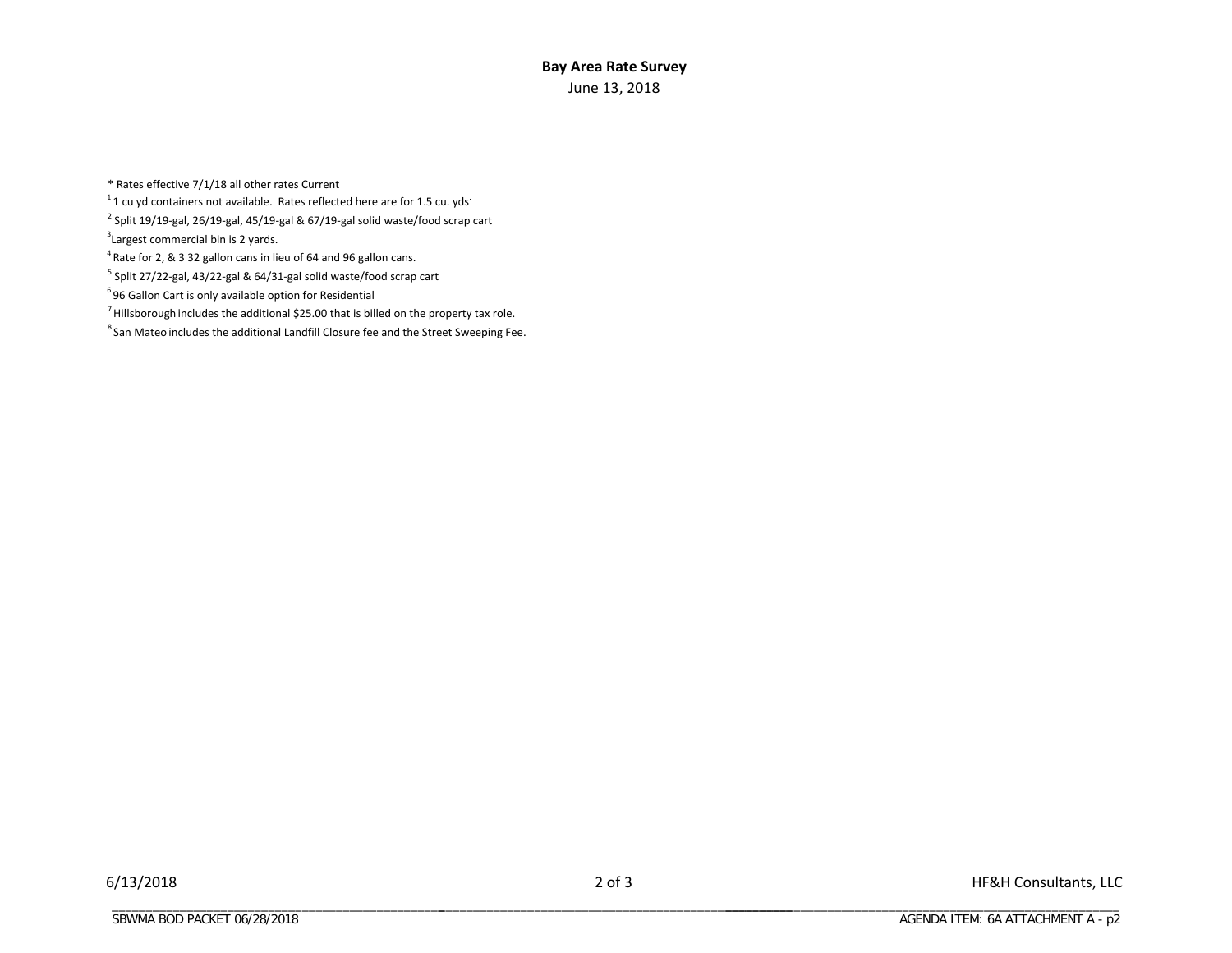#### **Bay Area Rate Survey** June 13, 2018

\* Rates effective 7/1/18 all other rates Current

 $1$  1 cu yd containers not available. Rates reflected here are for 1.5 cu. yds.

 $^{2}$  Split 19/19-gal, 26/19-gal, 45/19-gal & 67/19-gal solid waste/food scrap cart

<sup>3</sup> Largest commercial bin is 2 yards.

4 Rate for 2, & 3 32 gallon cans in lieu of 64 and 96 gallon cans.

<sup>5</sup> Split 27/22-gal, 43/22-gal & 64/31-gal solid waste/food scrap cart

 $6$  96 Gallon Cart is only available option for Residential

 $<sup>7</sup>$  Hillsborough includes the additional \$25.00 that is billed on the property tax role.</sup>

 $8$  San Mateo includes the additional Landfill Closure fee and the Street Sweeping Fee.

\_\_\_\_\_\_\_\_\_\_\_\_\_\_\_\_\_\_\_\_\_\_\_\_\_\_\_\_\_\_\_\_\_\_\_\_\_\_\_\_\_\_\_\_\_\_\_\_\_\_\_\_ \_\_\_\_\_\_\_\_\_\_\_\_\_\_\_\_\_\_\_\_\_\_\_\_\_\_\_\_\_\_\_\_\_\_\_\_\_\_\_\_\_\_\_\_\_\_\_\_\_\_\_\_\_\_\_\_\_\_

\_\_\_\_\_\_\_\_\_\_\_\_\_\_\_\_\_\_\_\_\_\_\_\_\_\_\_\_\_\_\_\_\_\_\_\_\_\_\_\_\_\_\_\_\_\_\_\_\_